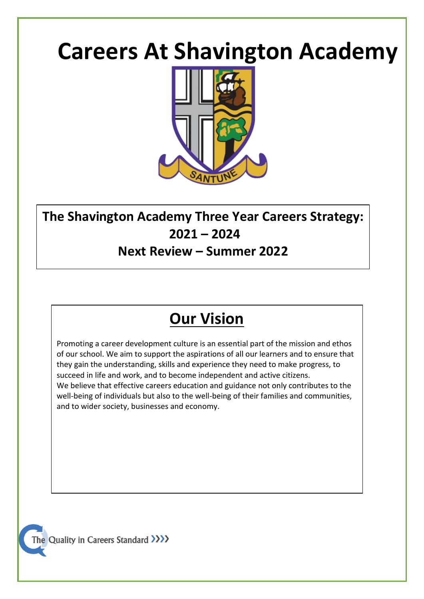# **Careers At Shavington Academy**



## **The Shavington Academy Three Year Careers Strategy: 2021 – 2024**

## **Next Review – Summer 2022**

## **Our Vision**

Promoting a career development culture is an essential part of the mission and ethos of our school. We aim to support the aspirations of all our learners and to ensure that they gain the understanding, skills and experience they need to make progress, to succeed in life and work, and to become independent and active citizens. We believe that effective careers education and guidance not only contributes to the well-being of individuals but also to the well-being of their families and communities, and to wider society, businesses and economy.

The Quality in Careers Standard >>>>>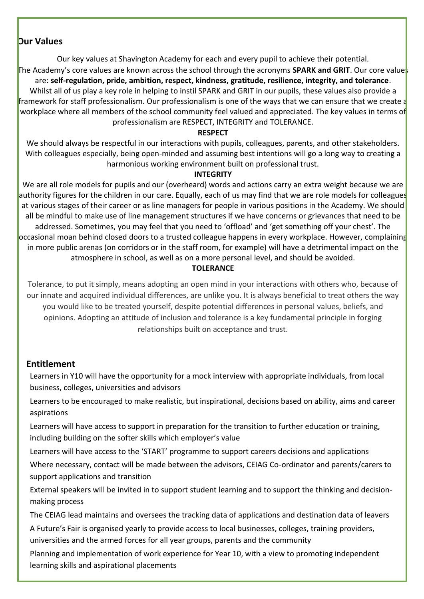### **Our Values**

Our key values at Shavington Academy for each and every pupil to achieve their potential.

The Academy's core values are known across the school through the acronyms **SPARK and GRIT**. Our core values are: **self-regulation, pride, ambition, respect, kindness, gratitude, resilience, integrity, and tolerance**. Whilst all of us play a key role in helping to instil SPARK and GRIT in our pupils, these values also provide a **framework for staff professionalism. Our professionalism is one of the ways that we can ensure that we create a** workplace where all members of the school community feel valued and appreciated. The key values in terms of professionalism are RESPECT, INTEGRITY and TOLERANCE.

#### **RESPECT**

We should always be respectful in our interactions with pupils, colleagues, parents, and other stakeholders. With colleagues especially, being open-minded and assuming best intentions will go a long way to creating a harmonious working environment built on professional trust.

#### **INTEGRITY**

We are all role models for pupils and our (overheard) words and actions carry an extra weight because we are authority figures for the children in our care. Equally, each of us may find that we are role models for colleagues at various stages of their career or as line managers for people in various positions in the Academy. We should all be mindful to make use of line management structures if we have concerns or grievances that need to be addressed. Sometimes, you may feel that you need to 'offload' and 'get something off your chest'. The occasional moan behind closed doors to a trusted colleague happens in every workplace. However, complaining in more public arenas (on corridors or in the staff room, for example) will have a detrimental impact on the atmosphere in school, as well as on a more personal level, and should be avoided.

#### **TOLERANCE**

Tolerance, to put it simply, means adopting an open mind in your interactions with others who, because of our innate and acquired individual differences, are unlike you. It is always beneficial to treat others the way you would like to be treated yourself, despite potential differences in personal values, beliefs, and opinions. Adopting an attitude of inclusion and tolerance is a key fundamental principle in forging relationships built on acceptance and trust.

### **Entitlement**

Learners in Y10 will have the opportunity for a mock interview with appropriate individuals, from local business, colleges, universities and advisors

Learners to be encouraged to make realistic, but inspirational, decisions based on ability, aims and career aspirations

Learners will have access to support in preparation for the transition to further education or training, including building on the softer skills which employer's value

Learners will have access to the 'START' programme to support careers decisions and applications

Where necessary, contact will be made between the advisors, CEIAG Co-ordinator and parents/carers to support applications and transition

External speakers will be invited in to support student learning and to support the thinking and decisionmaking process

The CEIAG lead maintains and oversees the tracking data of applications and destination data of leavers

A Future's Fair is organised yearly to provide access to local businesses, colleges, training providers, universities and the armed forces for all year groups, parents and the community

Planning and implementation of work experience for Year 10, with a view to promoting independent learning skills and aspirational placements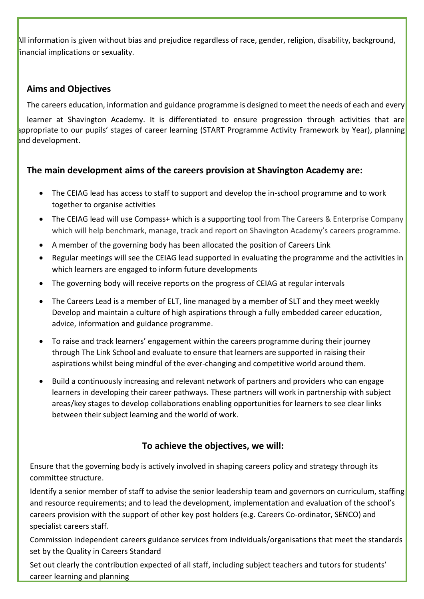All information is given without bias and prejudice regardless of race, gender, religion, disability, background, financial implications or sexuality.

## **Aims and Objectives**

The careers education, information and guidance programme is designed to meet the needs of each and every

 learner at Shavington Academy. It is differentiated to ensure progression through activities that are appropriate to our pupils' stages of career learning (START Programme Activity Framework by Year), planning and development.

## **The main development aims of the careers provision at Shavington Academy are:**

- The CEIAG lead has access to staff to support and develop the in-school programme and to work together to organise activities
- The CEIAG lead will use Compass+ which is a supporting tool from The Careers & Enterprise Company which will help benchmark, manage, track and report on Shavington Academy's careers programme.
- A member of the governing body has been allocated the position of Careers Link
- Regular meetings will see the CEIAG lead supported in evaluating the programme and the activities in which learners are engaged to inform future developments
- The governing body will receive reports on the progress of CEIAG at regular intervals
- The Careers Lead is a member of ELT, line managed by a member of SLT and they meet weekly Develop and maintain a culture of high aspirations through a fully embedded career education, advice, information and guidance programme.
- To raise and track learners' engagement within the careers programme during their journey through The Link School and evaluate to ensure that learners are supported in raising their aspirations whilst being mindful of the ever-changing and competitive world around them.
- Build a continuously increasing and relevant network of partners and providers who can engage learners in developing their career pathways. These partners will work in partnership with subject areas/key stages to develop collaborations enabling opportunities for learners to see clear links between their subject learning and the world of work.

## **To achieve the objectives, we will:**

Ensure that the governing body is actively involved in shaping careers policy and strategy through its committee structure.

Identify a senior member of staff to advise the senior leadership team and governors on curriculum, staffing and resource requirements; and to lead the development, implementation and evaluation of the school's careers provision with the support of other key post holders (e.g. Careers Co-ordinator, SENCO) and specialist careers staff.

Commission independent careers guidance services from individuals/organisations that meet the standards set by the Quality in Careers Standard

Set out clearly the contribution expected of all staff, including subject teachers and tutors for students' career learning and planning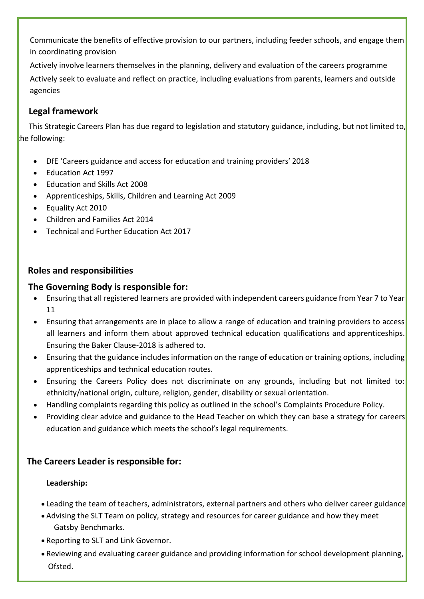Communicate the benefits of effective provision to our partners, including feeder schools, and engage them in coordinating provision

Actively involve learners themselves in the planning, delivery and evaluation of the careers programme Actively seek to evaluate and reflect on practice, including evaluations from parents, learners and outside agencies

## **Legal framework**

This Strategic Careers Plan has due regard to legislation and statutory guidance, including, but not limited to, the following:

- DfE 'Careers guidance and access for education and training providers' 2018
- Education Act 1997
- Education and Skills Act 2008
- Apprenticeships, Skills, Children and Learning Act 2009
- Equality Act 2010
- Children and Families Act 2014
- Technical and Further Education Act 2017

## **Roles and responsibilities**

### **The Governing Body is responsible for:**

- Ensuring that all registered learners are provided with independent careers guidance from Year 7 to Year 11
- Ensuring that arrangements are in place to allow a range of education and training providers to access all learners and inform them about approved technical education qualifications and apprenticeships. Ensuring the Baker Clause-2018 is adhered to.
- Ensuring that the guidance includes information on the range of education or training options, including apprenticeships and technical education routes.
- Ensuring the Careers Policy does not discriminate on any grounds, including but not limited to: ethnicity/national origin, culture, religion, gender, disability or sexual orientation.
- Handling complaints regarding this policy as outlined in the school's Complaints Procedure Policy.
- Providing clear advice and guidance to the Head Teacher on which they can base a strategy for careers education and guidance which meets the school's legal requirements.

## **The Careers Leader is responsible for:**

### **Leadership:**

- Leading the team of teachers, administrators, external partners and others who deliver career guidance
- Advising the SLT Team on policy, strategy and resources for career guidance and how they meet Gatsby Benchmarks.
- Reporting to SLT and Link Governor.
- Reviewing and evaluating career guidance and providing information for school development planning, Ofsted.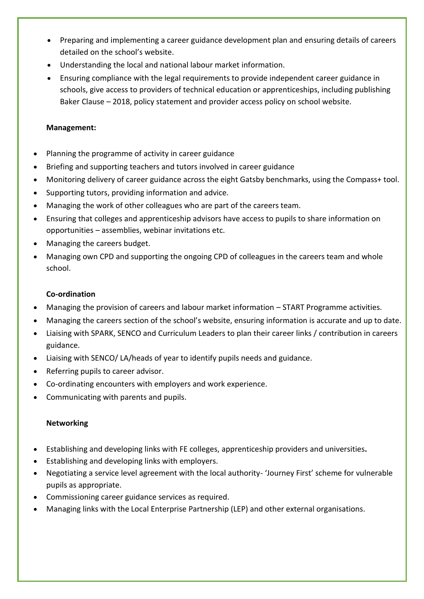- Preparing and implementing a career guidance development plan and ensuring details of careers detailed on the school's website.
- Understanding the local and national labour market information.
- Ensuring compliance with the legal requirements to provide independent career guidance in schools, give access to providers of technical education or apprenticeships, including publishing Baker Clause – 2018, policy statement and provider access policy on school website.

#### **Management:**

- Planning the programme of activity in career guidance
- Briefing and supporting teachers and tutors involved in career guidance
- Monitoring delivery of career guidance across the eight Gatsby benchmarks, using the Compass+ tool.
- Supporting tutors, providing information and advice.
- Managing the work of other colleagues who are part of the careers team.
- Ensuring that colleges and apprenticeship advisors have access to pupils to share information on opportunities – assemblies, webinar invitations etc.
- Managing the careers budget.
- Managing own CPD and supporting the ongoing CPD of colleagues in the careers team and whole school.

#### **Co-ordination**

- Managing the provision of careers and labour market information START Programme activities.
- Managing the careers section of the school's website, ensuring information is accurate and up to date.
- Liaising with SPARK, SENCO and Curriculum Leaders to plan their career links / contribution in careers guidance.
- Liaising with SENCO/ LA/heads of year to identify pupils needs and guidance.
- Referring pupils to career advisor.
- Co-ordinating encounters with employers and work experience.
- Communicating with parents and pupils.

#### **Networking**

- Establishing and developing links with FE colleges, apprenticeship providers and universities**.**
- Establishing and developing links with employers.
- Negotiating a service level agreement with the local authority- 'Journey First' scheme for vulnerable pupils as appropriate.
- Commissioning career guidance services as required.
- Managing links with the Local Enterprise Partnership (LEP) and other external organisations.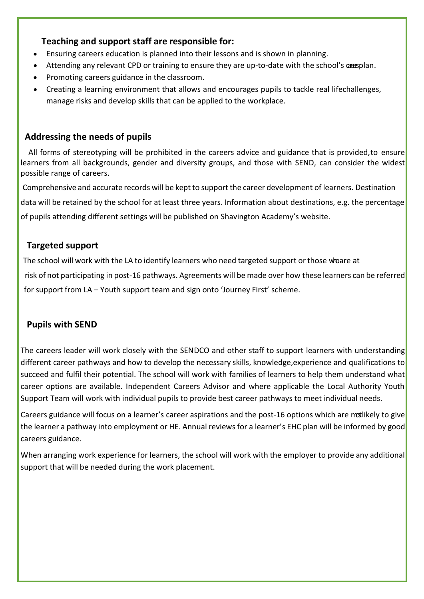## **Teaching and support staff are responsible for:**

- Ensuring careers education is planned into their lessons and is shown in planning.
- Attending any relevant CPD or training to ensure they are up-to-date with the school's causplan.
- Promoting careers guidance in the classroom.
- Creating a learning environment that allows and encourages pupils to tackle real lifechallenges, manage risks and develop skills that can be applied to the workplace.

## **Addressing the needs of pupils**

 All forms of stereotyping will be prohibited in the careers advice and guidance that is provided,to ensure learners from all backgrounds, gender and diversity groups, and those with SEND, can consider the widest possible range of careers.

Comprehensive and accurate records will be keptto support the career development of learners. Destination

data will be retained by the school for at least three years. Information about destinations, e.g. the percentage

of pupils attending different settings will be published on Shavington Academy's website.

## **Targeted support**

The school will work with the LA to identify learners who need targeted support or those whoare at

risk of not participating in post-16 pathways. Agreements will be made over how these learners can be referred

for support from LA – Youth support team and sign onto 'Journey First' scheme.

## **Pupils with SEND**

The careers leader will work closely with the SENDCO and other staff to support learners with understanding different career pathways and how to develop the necessary skills, knowledge, experience and qualifications to succeed and fulfil their potential. The school will work with families of learners to help them understand what career options are available. Independent Careers Advisor and where applicable the Local Authority Youth Support Team will work with individual pupils to provide best career pathways to meet individual needs.

Careers guidance will focus on a learner's career aspirations and the post-16 options which are malikely to give the learner a pathway into employment or HE. Annual reviews for a learner's EHC plan will be informed by good careers guidance.

When arranging work experience for learners, the school will work with the employer to provide any additional support that will be needed during the work placement.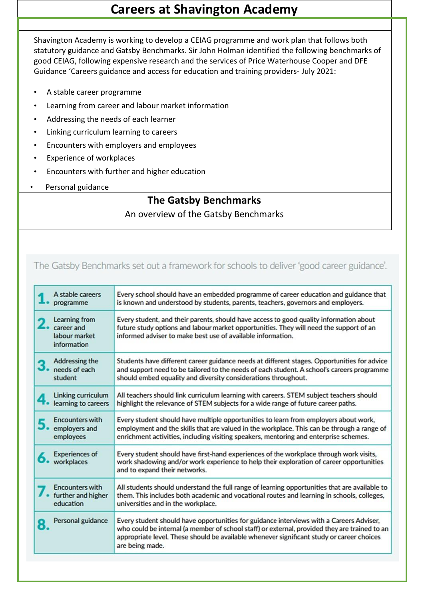## **Careers at Shavington Academy**

Shavington Academy is working to develop a CEIAG programme and work plan that follows both statutory guidance and Gatsby Benchmarks. Sir John Holman identified the following benchmarks of good CEIAG, following expensive research and the services of Price Waterhouse Cooper and DFE Guidance 'Careers guidance and access for education and training providers- July 2021:

- A stable career programme
- Learning from career and labour market information
- Addressing the needs of each learner
- Linking curriculum learning to careers
- Encounters with employers and employees
- Experience of workplaces
- Encounters with further and higher education
- Personal guidance

## **The Gatsby Benchmarks**

## An overview of the Gatsby Benchmarks

## The Gatsby Benchmarks set out a framework for schools to deliver 'good career guidance'.

| A stable careers                                            | Every school should have an embedded programme of career education and guidance that                                                                                                                                                                                                                     |  |
|-------------------------------------------------------------|----------------------------------------------------------------------------------------------------------------------------------------------------------------------------------------------------------------------------------------------------------------------------------------------------------|--|
| programme                                                   | is known and understood by students, parents, teachers, governors and employers.                                                                                                                                                                                                                         |  |
| Learning from<br>career and<br>labour market<br>information | Every student, and their parents, should have access to good quality information about<br>future study options and labour market opportunities. They will need the support of an<br>informed adviser to make best use of available information.                                                          |  |
| Addressing the                                              | Students have different career guidance needs at different stages. Opportunities for advice                                                                                                                                                                                                              |  |
| needs of each                                               | and support need to be tailored to the needs of each student. A school's careers programme                                                                                                                                                                                                               |  |
| student                                                     | should embed equality and diversity considerations throughout.                                                                                                                                                                                                                                           |  |
| Linking curriculum<br>4.<br>learning to careers             | All teachers should link curriculum learning with careers. STEM subject teachers should<br>highlight the relevance of STEM subjects for a wide range of future career paths.                                                                                                                             |  |
| <b>Encounters with</b>                                      | Every student should have multiple opportunities to learn from employers about work,                                                                                                                                                                                                                     |  |
| employers and                                               | employment and the skills that are valued in the workplace. This can be through a range of                                                                                                                                                                                                               |  |
| employees                                                   | enrichment activities, including visiting speakers, mentoring and enterprise schemes.                                                                                                                                                                                                                    |  |
| <b>Experiences of</b><br>workplaces                         | Every student should have first-hand experiences of the workplace through work visits,<br>work shadowing and/or work experience to help their exploration of career opportunities<br>and to expand their networks.                                                                                       |  |
| <b>Encounters with</b>                                      | All students should understand the full range of learning opportunities that are available to                                                                                                                                                                                                            |  |
| further and higher                                          | them. This includes both academic and vocational routes and learning in schools, colleges,                                                                                                                                                                                                               |  |
| education                                                   | universities and in the workplace.                                                                                                                                                                                                                                                                       |  |
| Personal guidance                                           | Every student should have opportunities for guidance interviews with a Careers Adviser,<br>who could be internal (a member of school staff) or external, provided they are trained to an<br>appropriate level. These should be available whenever significant study or career choices<br>are being made. |  |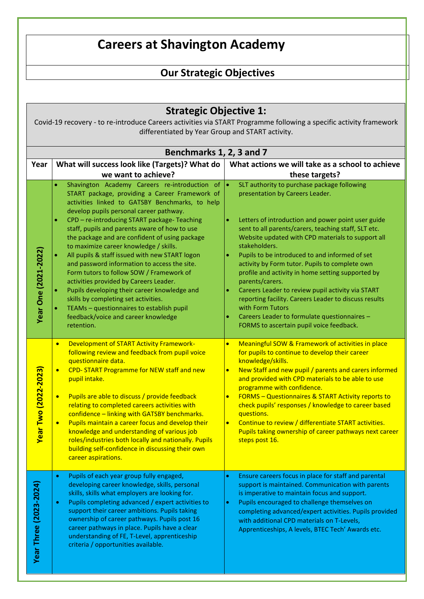## **Careers at Shavington Academy**

## **Our Strategic Objectives**

## **Strategic Objective 1:**

Covid-19 recovery - to re-introduce Careers activities via START Programme following a specific activity framework differentiated by Year Group and START activity.

|                               | Benchmarks 1, 2, 3 and 7                                                                                                                                                                                                                                                                                                                                                                                                                                                                                                                                                                                                          |                                                                                                                                                                                                                                                                                                                                                                                                                                                                                                                                                                                                    |  |  |  |
|-------------------------------|-----------------------------------------------------------------------------------------------------------------------------------------------------------------------------------------------------------------------------------------------------------------------------------------------------------------------------------------------------------------------------------------------------------------------------------------------------------------------------------------------------------------------------------------------------------------------------------------------------------------------------------|----------------------------------------------------------------------------------------------------------------------------------------------------------------------------------------------------------------------------------------------------------------------------------------------------------------------------------------------------------------------------------------------------------------------------------------------------------------------------------------------------------------------------------------------------------------------------------------------------|--|--|--|
| Year                          | What will success look like (Targets)? What do                                                                                                                                                                                                                                                                                                                                                                                                                                                                                                                                                                                    | What actions we will take as a school to achieve                                                                                                                                                                                                                                                                                                                                                                                                                                                                                                                                                   |  |  |  |
|                               | we want to achieve?                                                                                                                                                                                                                                                                                                                                                                                                                                                                                                                                                                                                               | these targets?                                                                                                                                                                                                                                                                                                                                                                                                                                                                                                                                                                                     |  |  |  |
|                               | Shavington Academy Careers re-introduction of<br>$\bullet$<br>START package, providing a Career Framework of<br>activities linked to GATSBY Benchmarks, to help<br>develop pupils personal career pathway.<br>CPD - re-introducing START package- Teaching<br>$\bullet$                                                                                                                                                                                                                                                                                                                                                           | SLT authority to purchase package following<br>$\bullet$<br>presentation by Careers Leader.<br>Letters of introduction and power point user guide<br>$\bullet$                                                                                                                                                                                                                                                                                                                                                                                                                                     |  |  |  |
|                               | staff, pupils and parents aware of how to use<br>the package and are confident of using package<br>to maximize career knowledge / skills.<br>All pupils & staff issued with new START logon<br>and password information to access the site.                                                                                                                                                                                                                                                                                                                                                                                       | sent to all parents/carers, teaching staff, SLT etc.<br>Website updated with CPD materials to support all<br>stakeholders.<br>Pupils to be introduced to and informed of set<br>$\bullet$<br>activity by Form tutor. Pupils to complete own                                                                                                                                                                                                                                                                                                                                                        |  |  |  |
| <b>Year One (2021-2022)</b>   | Form tutors to follow SOW / Framework of<br>activities provided by Careers Leader.<br>Pupils developing their career knowledge and<br>skills by completing set activities.<br>TEAMs - questionnaires to establish pupil<br>feedback/voice and career knowledge<br>retention.                                                                                                                                                                                                                                                                                                                                                      | profile and activity in home setting supported by<br>parents/carers.<br>Careers Leader to review pupil activity via START<br>$\bullet$<br>reporting facility. Careers Leader to discuss results<br>with Form Tutors<br>Careers Leader to formulate questionnaires -<br>FORMS to ascertain pupil voice feedback.                                                                                                                                                                                                                                                                                    |  |  |  |
| <b>Year Two (2022-2023)</b>   | <b>Development of START Activity Framework-</b><br>$\bullet$<br>following review and feedback from pupil voice<br>questionnaire data.<br>CPD-START Programme for NEW staff and new<br>$\bullet$<br>pupil intake.<br>Pupils are able to discuss / provide feedback<br>$\bullet$<br>relating to completed careers activities with<br>confidence - linking with GATSBY benchmarks.<br>Pupils maintain a career focus and develop their<br>$\bullet$<br>knowledge and understanding of various job<br>roles/industries both locally and nationally. Pupils<br>building self-confidence in discussing their own<br>career aspirations. | Meaningful SOW & Framework of activities in place<br>$\bullet$<br>for pupils to continue to develop their career<br>knowledge/skills.<br>New Staff and new pupil / parents and carers informed<br>$\bullet$<br>and provided with CPD materials to be able to use<br>programme with confidence.<br><b>FORMS - Questionnaires &amp; START Activity reports to</b><br>$\bullet$<br>check pupils' responses / knowledge to career based<br>questions.<br>Continue to review / differentiate START activities.<br>$\bullet$<br>Pupils taking ownership of career pathways next career<br>steps post 16. |  |  |  |
| <b>Year Three (2023-2024)</b> | Pupils of each year group fully engaged,<br>$\bullet$<br>developing career knowledge, skills, personal<br>skills, skills what employers are looking for.<br>Pupils completing advanced / expert activities to<br>$\bullet$<br>support their career ambitions. Pupils taking<br>ownership of career pathways. Pupils post 16<br>career pathways in place. Pupils have a clear<br>understanding of FE, T-Level, apprenticeship<br>criteria / opportunities available.                                                                                                                                                               | Ensure careers focus in place for staff and parental<br>$\bullet$<br>support is maintained. Communication with parents<br>is imperative to maintain focus and support.<br>Pupils encouraged to challenge themselves on<br>$\bullet$<br>completing advanced/expert activities. Pupils provided<br>with additional CPD materials on T-Levels,<br>Apprenticeships, A levels, BTEC Tech' Awards etc.                                                                                                                                                                                                   |  |  |  |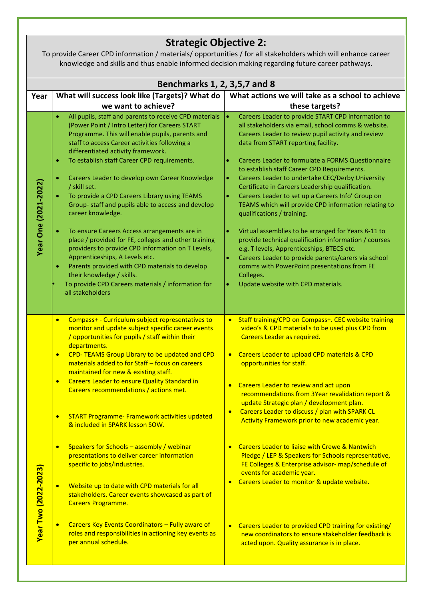## **Strategic Objective 2:**

To provide Career CPD information / materials/ opportunities / for all stakeholders which will enhance career knowledge and skills and thus enable informed decision making regarding future career pathways.

| Benchmarks 1, 2, 3,5,7 and 8                                                                                                                                                                                                                                                                                                                                                                                                                                                                                                                                                                                                                                                                                                                                                                                                                                                                                                                                                          |                                                                                                                                                                                                                                                                                                                                                                                                                                                                                                                                                                                                                                                                                                                                                                                                                                                                                                                                                                                 |  |  |  |
|---------------------------------------------------------------------------------------------------------------------------------------------------------------------------------------------------------------------------------------------------------------------------------------------------------------------------------------------------------------------------------------------------------------------------------------------------------------------------------------------------------------------------------------------------------------------------------------------------------------------------------------------------------------------------------------------------------------------------------------------------------------------------------------------------------------------------------------------------------------------------------------------------------------------------------------------------------------------------------------|---------------------------------------------------------------------------------------------------------------------------------------------------------------------------------------------------------------------------------------------------------------------------------------------------------------------------------------------------------------------------------------------------------------------------------------------------------------------------------------------------------------------------------------------------------------------------------------------------------------------------------------------------------------------------------------------------------------------------------------------------------------------------------------------------------------------------------------------------------------------------------------------------------------------------------------------------------------------------------|--|--|--|
| What will success look like (Targets)? What do                                                                                                                                                                                                                                                                                                                                                                                                                                                                                                                                                                                                                                                                                                                                                                                                                                                                                                                                        | What actions we will take as a school to achieve                                                                                                                                                                                                                                                                                                                                                                                                                                                                                                                                                                                                                                                                                                                                                                                                                                                                                                                                |  |  |  |
| we want to achieve?                                                                                                                                                                                                                                                                                                                                                                                                                                                                                                                                                                                                                                                                                                                                                                                                                                                                                                                                                                   | these targets?                                                                                                                                                                                                                                                                                                                                                                                                                                                                                                                                                                                                                                                                                                                                                                                                                                                                                                                                                                  |  |  |  |
| All pupils, staff and parents to receive CPD materials<br>$\bullet$<br>(Power Point / Intro Letter) for Careers START<br>Programme. This will enable pupils, parents and<br>staff to access Career activities following a<br>differentiated activity framework.<br>To establish staff Career CPD requirements.<br>$\bullet$<br>Careers Leader to develop own Career Knowledge<br>$\bullet$<br>/ skill set.<br>To provide a CPD Careers Library using TEAMS<br>$\bullet$<br>Group-staff and pupils able to access and develop<br>career knowledge.<br>To ensure Careers Access arrangements are in<br>٠<br>place / provided for FE, colleges and other training<br>providers to provide CPD information on T Levels,<br>Apprenticeships, A Levels etc.<br>Parents provided with CPD materials to develop<br>$\bullet$<br>their knowledge / skills.<br>To provide CPD Careers materials / information for<br>all stakeholders                                                           | Careers Leader to provide START CPD information to<br>$\bullet$<br>all stakeholders via email, school comms & website.<br>Careers Leader to review pupil activity and review<br>data from START reporting facility.<br>Careers Leader to formulate a FORMS Questionnaire<br>$\bullet$<br>to establish staff Career CPD Requirements.<br>Careers Leader to undertake CEC/Derby University<br>$\bullet$<br>Certificate in Careers Leadership qualification.<br>Careers Leader to set up a Careers Info' Group on<br>$\bullet$<br>TEAMS which will provide CPD information relating to<br>qualifications / training.<br>Virtual assemblies to be arranged for Years 8-11 to<br>$\bullet$<br>provide technical qualification information / courses<br>e.g. T levels, Apprenticeships, BTECS etc.<br>Careers Leader to provide parents/carers via school<br>$\bullet$<br>comms with PowerPoint presentations from FE<br>Colleges.<br>Update website with CPD materials.<br>$\bullet$ |  |  |  |
| Compass+ - Curriculum subject representatives to<br>$\bullet$<br>monitor and update subject specific career events<br>/ opportunities for pupils / staff within their<br>departments.<br>CPD- TEAMS Group Library to be updated and CPD<br>$\bullet$<br>materials added to for Staff - focus on careers<br>maintained for new & existing staff.<br><b>Careers Leader to ensure Quality Standard in</b><br>$\bullet$<br>Careers recommendations / actions met.<br><b>START Programme- Framework activities updated</b><br>$\bullet$<br>& included in SPARK lesson SOW.<br>Speakers for Schools - assembly / webinar<br>$\bullet$<br>presentations to deliver career information<br>specific to jobs/industries.<br>Website up to date with CPD materials for all<br>stakeholders. Career events showcased as part of<br><b>Careers Programme.</b><br>Careers Key Events Coordinators - Fully aware of<br>roles and responsibilities in actioning key events as<br>per annual schedule. | Staff training/CPD on Compass+. CEC website training<br>$\bullet$<br>video's & CPD material s to be used plus CPD from<br>Careers Leader as required.<br>Careers Leader to upload CPD materials & CPD<br>opportunities for staff.<br>Careers Leader to review and act upon<br>recommendations from 3Year revalidation report &<br>update Strategic plan / development plan.<br>Careers Leader to discuss / plan with SPARK CL<br>$\bullet$<br>Activity Framework prior to new academic year.<br><b>Careers Leader to liaise with Crewe &amp; Nantwich</b><br>Pledge / LEP & Speakers for Schools representative,<br>FE Colleges & Enterprise advisor- map/schedule of<br>events for academic year.<br>Careers Leader to monitor & update website.<br>Careers Leader to provided CPD training for existing/<br>$\bullet$<br>new coordinators to ensure stakeholder feedback is<br>acted upon. Quality assurance is in place.                                                     |  |  |  |
|                                                                                                                                                                                                                                                                                                                                                                                                                                                                                                                                                                                                                                                                                                                                                                                                                                                                                                                                                                                       |                                                                                                                                                                                                                                                                                                                                                                                                                                                                                                                                                                                                                                                                                                                                                                                                                                                                                                                                                                                 |  |  |  |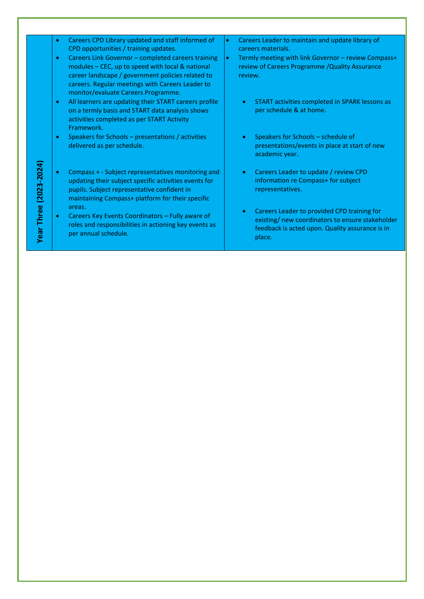|                   | Careers CPD Library updated and staff informed of<br>$\bullet$                                                                                                                                                                                                                                               | Careers Leader to maintain and update library of<br>۰                                                                                                                     |
|-------------------|--------------------------------------------------------------------------------------------------------------------------------------------------------------------------------------------------------------------------------------------------------------------------------------------------------------|---------------------------------------------------------------------------------------------------------------------------------------------------------------------------|
|                   | CPD opportunities / training updates.<br>Careers Link Governor - completed careers training<br>$\bullet$<br>modules - CEC, up to speed with local & national<br>career landscape / government policies related to<br>careers. Regular meetings with Careers Leader to<br>monitor/evaluate Careers Programme. | careers materials.<br>Termly meeting with link Governor - review Compass+<br>$\bullet$<br>review of Careers Programme / Quality Assurance<br>review.                      |
|                   | All learners are updating their START careers profile<br>$\bullet$<br>on a termly basis and START data analysis shows<br>activities completed as per START Activity<br>Framework.                                                                                                                            | START activities completed in SPARK lessons as<br>$\bullet$<br>per schedule & at home.                                                                                    |
|                   | Speakers for Schools – presentations / activities<br>$\bullet$<br>delivered as per schedule.                                                                                                                                                                                                                 | Speakers for Schools - schedule of<br>presentations/events in place at start of new<br>academic year.                                                                     |
| $(2023 - 2024)$   | Compass + - Subject representatives monitoring and<br>$\bullet$<br>updating their subject specific activities events for<br>pupils. Subject representative confident in<br>maintaining Compass+ platform for their specific                                                                                  | Careers Leader to update / review CPD<br>$\bullet$<br>information re Compass+ for subject<br>representatives.                                                             |
| <b>Year Three</b> | areas.<br>Careers Key Events Coordinators - Fully aware of<br>$\bullet$<br>roles and responsibilities in actioning key events as<br>per annual schedule.                                                                                                                                                     | Careers Leader to provided CPD training for<br>$\bullet$<br>existing/ new coordinators to ensure stakeholder<br>feedback is acted upon. Quality assurance is in<br>place. |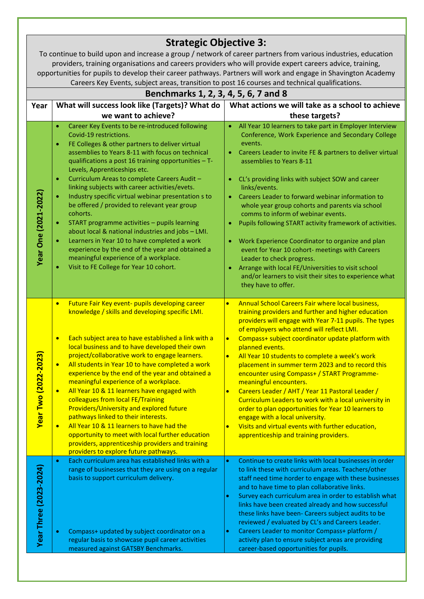|                             | <b>Strategic Objective 3:</b>                                                                                                                                                                                               |                                                                                                                                                                        |  |  |  |  |
|-----------------------------|-----------------------------------------------------------------------------------------------------------------------------------------------------------------------------------------------------------------------------|------------------------------------------------------------------------------------------------------------------------------------------------------------------------|--|--|--|--|
|                             | To continue to build upon and increase a group / network of career partners from various industries, education<br>providers, training organisations and careers providers who will provide expert careers advice, training, |                                                                                                                                                                        |  |  |  |  |
|                             | opportunities for pupils to develop their career pathways. Partners will work and engage in Shavington Academy                                                                                                              |                                                                                                                                                                        |  |  |  |  |
|                             | Careers Key Events, subject areas, transition to post 16 courses and technical qualifications.                                                                                                                              |                                                                                                                                                                        |  |  |  |  |
|                             | Benchmarks 1, 2, 3, 4, 5, 6, 7 and 8                                                                                                                                                                                        |                                                                                                                                                                        |  |  |  |  |
| Year                        | What will success look like (Targets)? What do                                                                                                                                                                              | What actions we will take as a school to achieve                                                                                                                       |  |  |  |  |
|                             | we want to achieve?                                                                                                                                                                                                         | these targets?                                                                                                                                                         |  |  |  |  |
|                             | Career Key Events to be re-introduced following<br>$\bullet$<br>Covid-19 restrictions.<br>FE Colleges & other partners to deliver virtual<br>$\bullet$<br>assemblies to Years 8-11 with focus on technical                  | All Year 10 learners to take part in Employer Interview<br>Conference, Work Experience and Secondary College<br>events.                                                |  |  |  |  |
|                             | qualifications a post 16 training opportunities $-$ T-<br>Levels, Apprenticeships etc.                                                                                                                                      | Careers Leader to invite FE & partners to deliver virtual<br>$\bullet$<br>assemblies to Years 8-11                                                                     |  |  |  |  |
|                             | Curriculum Areas to complete Careers Audit -<br>$\bullet$<br>linking subjects with career activities/evets.                                                                                                                 | CL's providing links with subject SOW and career<br>$\bullet$<br>links/events.                                                                                         |  |  |  |  |
| <b>Year One (2021-2022)</b> | Industry specific virtual webinar presentation s to<br>$\bullet$<br>be offered / provided to relevant year group<br>cohorts.                                                                                                | Careers Leader to forward webinar information to<br>whole year group cohorts and parents via school<br>comms to inform of webinar events.                              |  |  |  |  |
|                             | START programme activities - pupils learning<br>$\bullet$<br>about local & national industries and jobs - LMI.                                                                                                              | Pupils following START activity framework of activities.                                                                                                               |  |  |  |  |
|                             | Learners in Year 10 to have completed a work<br>$\bullet$<br>experience by the end of the year and obtained a                                                                                                               | Work Experience Coordinator to organize and plan<br>event for Year 10 cohort- meetings with Careers                                                                    |  |  |  |  |
|                             | meaningful experience of a workplace.<br>Visit to FE College for Year 10 cohort.<br>۰                                                                                                                                       | Leader to check progress.<br>Arrange with local FE/Universities to visit school<br>٠<br>and/or learners to visit their sites to experience what<br>they have to offer. |  |  |  |  |
|                             | Future Fair Key event- pupils developing career<br>$\bullet$                                                                                                                                                                | Annual School Careers Fair where local business,<br>$\bullet$                                                                                                          |  |  |  |  |
|                             | knowledge / skills and developing specific LMI.                                                                                                                                                                             | training providers and further and higher education<br>providers will engage with Year 7-11 pupils. The types<br>of employers who attend will reflect LMI.             |  |  |  |  |
|                             | Each subject area to have established a link with a<br>$\bullet$<br>local business and to have developed their own                                                                                                          | Compass+ subject coordinator update platform with<br>$\bullet$<br>planned events.                                                                                      |  |  |  |  |
|                             | project/collaborative work to engage learners.                                                                                                                                                                              | All Year 10 students to complete a week's work                                                                                                                         |  |  |  |  |
| <b>Year Two (2022-2023)</b> | All students in Year 10 to have completed a work<br>$\bullet$<br>experience by the end of the year and obtained a<br>meaningful experience of a workplace.                                                                  | placement in summer term 2023 and to record this<br>encounter using Compass+ / START Programme-<br>meaningful encounters.                                              |  |  |  |  |
|                             | All Year 10 & 11 learners have engaged with<br>$\bullet$                                                                                                                                                                    | Careers Leader / AHT / Year 11 Pastoral Leader /<br>$\bullet$                                                                                                          |  |  |  |  |
|                             | colleagues from local FE/Training<br>Providers/University and explored future                                                                                                                                               | Curriculum Leaders to work with a local university in<br>order to plan opportunities for Year 10 learners to                                                           |  |  |  |  |
|                             | pathways linked to their interests.                                                                                                                                                                                         | engage with a local university.                                                                                                                                        |  |  |  |  |
|                             | All Year 10 & 11 learners to have had the<br>$\bullet$                                                                                                                                                                      | Visits and virtual events with further education,<br>$\bullet$                                                                                                         |  |  |  |  |
|                             | opportunity to meet with local further education<br>providers, apprenticeship providers and training<br>providers to explore future pathways.                                                                               | apprenticeship and training providers.                                                                                                                                 |  |  |  |  |
|                             | Each curriculum area has established links with a<br>$\bullet$                                                                                                                                                              | Continue to create links with local businesses in order<br>$\bullet$                                                                                                   |  |  |  |  |
| Year Three (2023-2024)      | range of businesses that they are using on a regular<br>basis to support curriculum delivery.                                                                                                                               | to link these with curriculum areas. Teachers/other<br>staff need time horder to engage with these businesses                                                          |  |  |  |  |
|                             |                                                                                                                                                                                                                             | and to have time to plan collaborative links.                                                                                                                          |  |  |  |  |
|                             |                                                                                                                                                                                                                             | Survey each curriculum area in order to establish what<br>$\bullet$<br>links have been created already and how successful                                              |  |  |  |  |
|                             |                                                                                                                                                                                                                             | these links have been- Careers subject audits to be                                                                                                                    |  |  |  |  |
|                             |                                                                                                                                                                                                                             | reviewed / evaluated by CL's and Careers Leader.                                                                                                                       |  |  |  |  |
|                             | Compass+ updated by subject coordinator on a<br>$\bullet$                                                                                                                                                                   | Careers Leader to monitor Compass+ platform /<br>$\bullet$                                                                                                             |  |  |  |  |
|                             | regular basis to showcase pupil career activities<br>measured against GATSBY Benchmarks.                                                                                                                                    | activity plan to ensure subject areas are providing<br>career-based opportunities for pupils.                                                                          |  |  |  |  |
|                             |                                                                                                                                                                                                                             |                                                                                                                                                                        |  |  |  |  |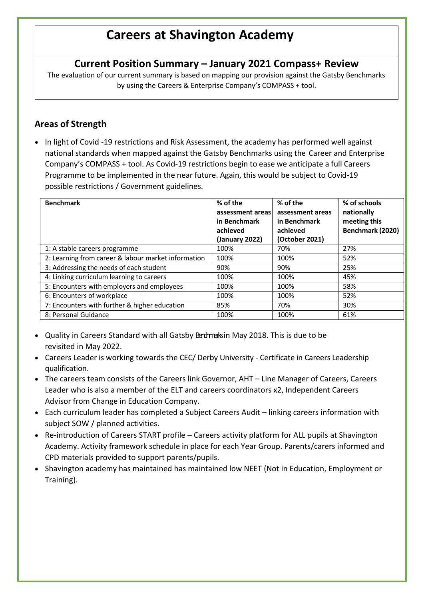## **Careers at Shavington Academy**

## **Current Position Summary – January 2021 Compass+ Review**

The evaluation of our current summary is based on mapping our provision against the Gatsby Benchmarks by using the Careers & Enterprise Company's COMPASS + tool.

## **Areas of Strength**

• In light of Covid -19 restrictions and Risk Assessment, the academy has performed well against national standards when mapped against the Gatsby Benchmarks using the Career and Enterprise Company's COMPASS + tool. As Covid-19 restrictions begin to ease we anticipate a full Careers Programme to be implemented in the near future. Again, this would be subject to Covid-19 possible restrictions / Government guidelines.

| <b>Benchmark</b>                                    | % of the<br>assessment areas<br>in Benchmark<br>achieved<br>(January 2022) | % of the<br>assessment areas<br>in Benchmark<br>achieved<br>(October 2021) | % of schools<br>nationally<br>meeting this<br>Benchmark (2020) |
|-----------------------------------------------------|----------------------------------------------------------------------------|----------------------------------------------------------------------------|----------------------------------------------------------------|
| 1: A stable careers programme                       | 100%                                                                       | 70%                                                                        | 27%                                                            |
| 2: Learning from career & labour market information | 100%                                                                       | 100%                                                                       | 52%                                                            |
| 3: Addressing the needs of each student             | 90%                                                                        | 90%                                                                        | 25%                                                            |
| 4: Linking curriculum learning to careers           | 100%                                                                       | 100%                                                                       | 45%                                                            |
| 5: Encounters with employers and employees          | 100%                                                                       | 100%                                                                       | 58%                                                            |
| 6: Encounters of workplace                          | 100%                                                                       | 100%                                                                       | 52%                                                            |
| 7: Encounters with further & higher education       | 85%                                                                        | 70%                                                                        | 30%                                                            |
| 8: Personal Guidance                                | 100%                                                                       | 100%                                                                       | 61%                                                            |

- Quality in Careers Standard with all Gatsby Bendmarksin May 2018. This is due to be revisited in May 2022.
- Careers Leader is working towards the CEC/ Derby University Certificate in Careers Leadership qualification.
- The careers team consists of the Careers link Governor, AHT Line Manager of Careers, Careers Leader who is also a member of the ELT and careers coordinators x2, Independent Careers Advisor from Change in Education Company.
- Each curriculum leader has completed a Subject Careers Audit linking careers information with subject SOW / planned activities.
- Re-introduction of Careers START profile Careers activity platform for ALL pupils at Shavington Academy. Activity framework schedule in place for each Year Group. Parents/carers informed and CPD materials provided to support parents/pupils.
- Shavington academy has maintained has maintained low NEET (Not in Education, Employment or Training).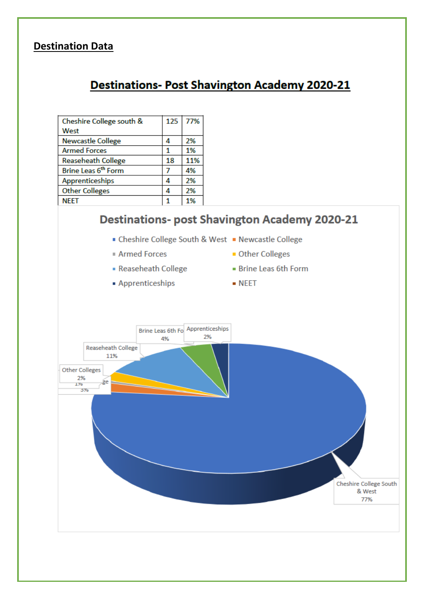## **Destination Data**

## **Destinations- Post Shavington Academy 2020-21**

| Cheshire College south &        | 125 | 77% |
|---------------------------------|-----|-----|
| West                            |     |     |
| <b>Newcastle College</b>        | 4   | 2%  |
| <b>Armed Forces</b>             |     | 1%  |
| <b>Reaseheath College</b>       | 18  | 11% |
| Brine Leas 6 <sup>th</sup> Form | 7   | 4%  |
| Apprenticeships                 | 4   | 2%  |
| <b>Other Colleges</b>           | Δ   | 2%  |
| <b>NEET</b>                     |     | 1%  |

## **Destinations- post Shavington Academy 2020-21**

- Cheshire College South & West Newcastle College
- **Armed Forces**
- Reaseheath College
- Apprenticeships
- Brine Leas 6th Form

**Other Colleges** 

 $\blacksquare$  NEET

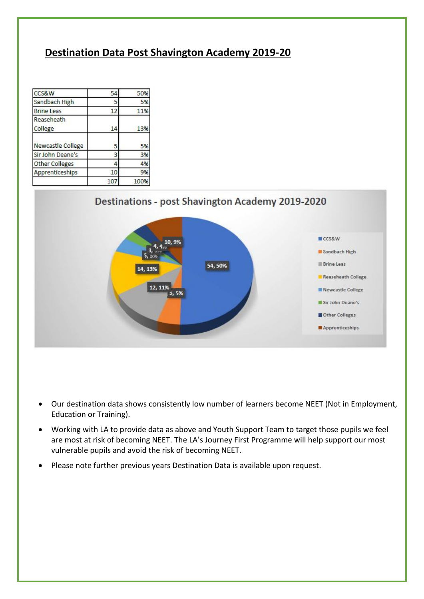## **Destination Data Post Shavington Academy 2019-20**

| <b>CCS&amp;W</b>      | 54  | 50%  |
|-----------------------|-----|------|
| Sandbach High         | 5   | 5%   |
| <b>Brine Leas</b>     | 12  | 11%  |
| Reaseheath<br>College | 14  | 13%  |
| Newcastle College     | 5   | 5%   |
| Sir John Deane's      | 3   | 3%   |
| Other Colleges        | 4   | 4%   |
| Apprenticeships       | 10  | 9%   |
|                       | 107 | 100% |





- Our destination data shows consistently low number of learners become NEET (Not in Employment, Education or Training).
- Working with LA to provide data as above and Youth Support Team to target those pupils we feel are most at risk of becoming NEET. The LA's Journey First Programme will help support our most vulnerable pupils and avoid the risk of becoming NEET.
- Please note further previous years Destination Data is available upon request.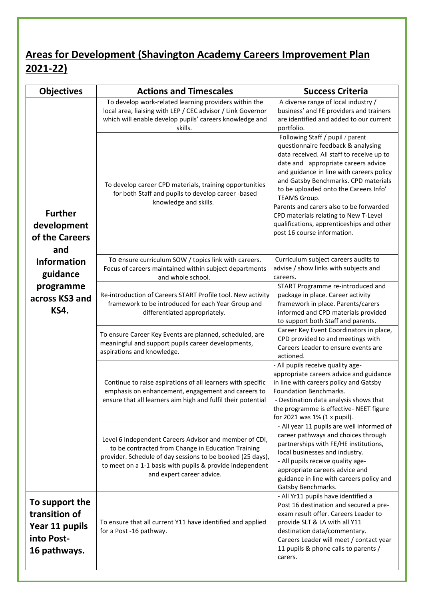## **Areas for Development (Shavington Academy Careers Improvement Plan 2021-22)**

| <b>Objectives</b>                                                               | <b>Actions and Timescales</b>                                                                                                                                                                                                                                       | <b>Success Criteria</b>                                                                                                                                                                                                                                                                                                                                                                                                                                                        |
|---------------------------------------------------------------------------------|---------------------------------------------------------------------------------------------------------------------------------------------------------------------------------------------------------------------------------------------------------------------|--------------------------------------------------------------------------------------------------------------------------------------------------------------------------------------------------------------------------------------------------------------------------------------------------------------------------------------------------------------------------------------------------------------------------------------------------------------------------------|
|                                                                                 | To develop work-related learning providers within the<br>local area, liaising with LEP / CEC advisor / Link Governor<br>which will enable develop pupils' careers knowledge and<br>skills.                                                                          | A diverse range of local industry /<br>business' and FE providers and trainers<br>are identified and added to our current<br>portfolio.                                                                                                                                                                                                                                                                                                                                        |
| <b>Further</b><br>development<br>of the Careers<br>and                          | To develop career CPD materials, training opportunities<br>for both Staff and pupils to develop career -based<br>knowledge and skills.                                                                                                                              | Following Staff / pupil / parent<br>questionnaire feedback & analysing<br>data received. All staff to receive up to<br>date and appropriate careers advice<br>and guidance in line with careers policy<br>and Gatsby Benchmarks. CPD materials<br>to be uploaded onto the Careers Info'<br><b>TEAMS Group.</b><br>Parents and carers also to be forwarded<br>CPD materials relating to New T-Level<br>qualifications, apprenticeships and other<br>post 16 course information. |
| <b>Information</b><br>guidance                                                  | To ensure curriculum SOW / topics link with careers.<br>Focus of careers maintained within subject departments<br>and whole school.                                                                                                                                 | Curriculum subject careers audits to<br>advise / show links with subjects and<br>careers.                                                                                                                                                                                                                                                                                                                                                                                      |
| programme<br>across KS3 and<br><b>KS4.</b>                                      | Re-introduction of Careers START Profile tool. New activity<br>framework to be introduced for each Year Group and<br>differentiated appropriately.                                                                                                                  | START Programme re-introduced and<br>package in place. Career activity<br>framework in place. Parents/carers<br>informed and CPD materials provided<br>to support both Staff and parents.                                                                                                                                                                                                                                                                                      |
|                                                                                 | To ensure Career Key Events are planned, scheduled, are<br>meaningful and support pupils career developments,<br>aspirations and knowledge.                                                                                                                         | Career Key Event Coordinators in place,<br>CPD provided to and meetings with<br>Careers Leader to ensure events are<br>actioned.                                                                                                                                                                                                                                                                                                                                               |
|                                                                                 | Continue to raise aspirations of all learners with specific<br>emphasis on enhancement, engagement and careers to<br>ensure that all learners aim high and fulfil their potential                                                                                   | All pupils receive quality age-<br>appropriate careers advice and guidance<br>in line with careers policy and Gatsby<br>Foundation Benchmarks.<br>- Destination data analysis shows that<br>the programme is effective- NEET figure<br>for 2021 was $1\%$ (1 x pupil).                                                                                                                                                                                                         |
|                                                                                 | Level 6 Independent Careers Advisor and member of CDI,<br>to be contracted from Change in Education Training<br>provider. Schedule of day sessions to be booked (25 days),<br>to meet on a 1-1 basis with pupils & provide independent<br>and expert career advice. | - All year 11 pupils are well informed of<br>career pathways and choices through<br>partnerships with FE/HE institutions,<br>local businesses and industry.<br>- All pupils receive quality age-<br>appropriate careers advice and<br>guidance in line with careers policy and<br>Gatsby Benchmarks.                                                                                                                                                                           |
| To support the<br>transition of<br>Year 11 pupils<br>into Post-<br>16 pathways. | To ensure that all current Y11 have identified and applied<br>for a Post -16 pathway.                                                                                                                                                                               | - All Yr11 pupils have identified a<br>Post 16 destination and secured a pre-<br>exam result offer. Careers Leader to<br>provide SLT & LA with all Y11<br>destination data/commentary.<br>Careers Leader will meet / contact year<br>11 pupils & phone calls to parents /<br>carers.                                                                                                                                                                                           |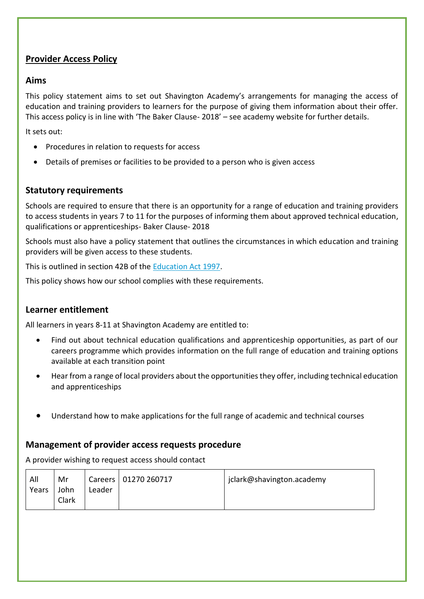## **Provider Access Policy**

#### **Aims**

This policy statement aims to set out Shavington Academy's arrangements for managing the access of education and training providers to learners for the purpose of giving them information about their offer. This access policy is in line with 'The Baker Clause- 2018' – see academy website for further details.

It sets out:

- Procedures in relation to requests for access
- Details of premises or facilities to be provided to a person who is given access

#### **Statutory requirements**

Schools are required to ensure that there is an opportunity for a range of education and training providers to access students in years 7 to 11 for the purposes of informing them about approved technical education, qualifications or apprenticeships- Baker Clause- 2018

Schools must also have a policy statement that outlines the circumstances in which education and training providers will be given access to these students.

This is outlined in section 42B of the [Education Act 1997.](https://www.legislation.gov.uk/ukpga/1997/44/section/42B)

This policy shows how our school complies with these requirements.

### **Learner entitlement**

All learners in years 8-11 at Shavington Academy are entitled to:

- Find out about technical education qualifications and apprenticeship opportunities, as part of our careers programme which provides information on the full range of education and training options available at each transition point
- Hear from a range of local providers about the opportunities they offer, including technical education and apprenticeships
- Understand how to make applications for the full range of academic and technical courses

#### **Management of provider access requests procedure**

A provider wishing to request access should contact

| All   | Mr            |        | Careers   01270 260717 | jclark@shavington.academy |
|-------|---------------|--------|------------------------|---------------------------|
| Years | John<br>Clark | Leader |                        |                           |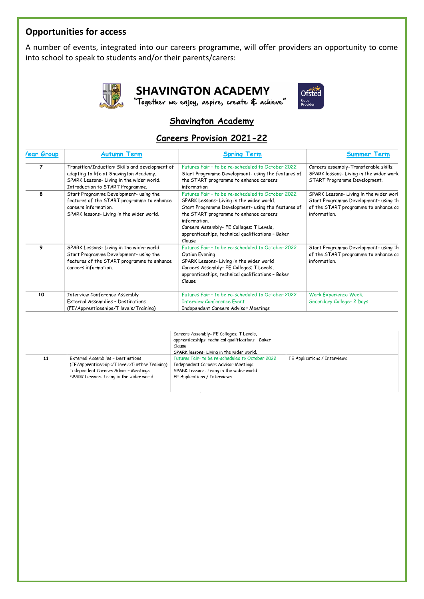## **Opportunities for access**

A number of events, integrated into our careers programme, will offer providers an opportunity to come into school to speak to students and/or their parents/carers:



**SHAVINGTON ACADEMY** 

"Together we enjoy, aspire, create & achieve"



## **Shavington Academy**

## **Careers Provision 2021-22**

| lear Group | <b>Autumn Term</b>                                                                                                                                                         | <b>Spring Term</b>                                                                                                                                                                                                                                                                                                       | <b>Summer Term</b>                                                                                                                      |
|------------|----------------------------------------------------------------------------------------------------------------------------------------------------------------------------|--------------------------------------------------------------------------------------------------------------------------------------------------------------------------------------------------------------------------------------------------------------------------------------------------------------------------|-----------------------------------------------------------------------------------------------------------------------------------------|
| 7          | Transition/Induction: Skills and development of<br>adapting to life at Shavington Academy.<br>SPARK Lessons-Living in the wider world.<br>Introduction to START Programme. | Futures Fair - to be re-scheduled to October 2022<br>Start Programme Development- using the features of<br>the START programme to enhance careers<br>information                                                                                                                                                         | Careers assembly-Transferable skills.<br>SPARK lessons-Living in the wider work<br>START Programme Development.                         |
| 8          | Start Programme Development- using the<br>features of the START programme to enhance<br>careers information.<br>SPARK lessons- Living in the wider world.                  | Futures Fair - to be re-scheduled to October 2022<br>SPARK Lessons-Living in the wider world.<br>Start Programme Development- using the features of<br>the START programme to enhance careers<br>information.<br>Careers Assembly- FE Colleges; T Levels,<br>apprenticeships, technical qualifications - Baker<br>Clause | SPARK Lessons-Living in the wider worl<br>Start Programme Development- using th<br>of the START programme to enhance cc<br>information. |
| 9          | SPARK Lessons- Living in the wider world<br>Start Programme Development- using the<br>features of the START programme to enhance<br>careers information.                   | Futures Fair - to be re-scheduled to October 2022<br>Option Evening<br>SPARK Lessons-Living in the wider world<br>Careers Assembly- FE Colleges; T Levels,<br>apprenticeships, technical qualifications - Baker<br>Clause                                                                                                | Start Programme Development- using th<br>of the START programme to enhance co<br>information.                                           |
| 10         | <b>Interview Conference Assembly</b><br>External Assemblies - Destinations<br>(FE/Apprenticeships/T levels/Training)                                                       | Futures Fair - to be re-scheduled to October 2022<br><b>Interview Conference Event</b><br>Independent Careers Advisor Meetings                                                                                                                                                                                           | Work Experience Week.<br>Secondary College- 2 Days                                                                                      |

|    |                                                                                                                                                                          | Careers Assembly- FE Colleges; T Levels,<br>apprenticeships, technical qualifications - Baker<br>Clause<br>SPARK lessons-Living in the wider world.                  |                              |
|----|--------------------------------------------------------------------------------------------------------------------------------------------------------------------------|----------------------------------------------------------------------------------------------------------------------------------------------------------------------|------------------------------|
| 11 | External Assemblies - Destinations<br>(FE/Apprenticeships/T levels/Further Training)<br>Independent Careers Advisor Meetings<br>SPARK Lessons- Living in the wider world | Futures Fair- to be re-scheduled to October 2022<br>Independent Careers Advisor Meetings<br>SPARK Lessons- Living in the wider world<br>FE Applications / Interviews | FE Applications / Interviews |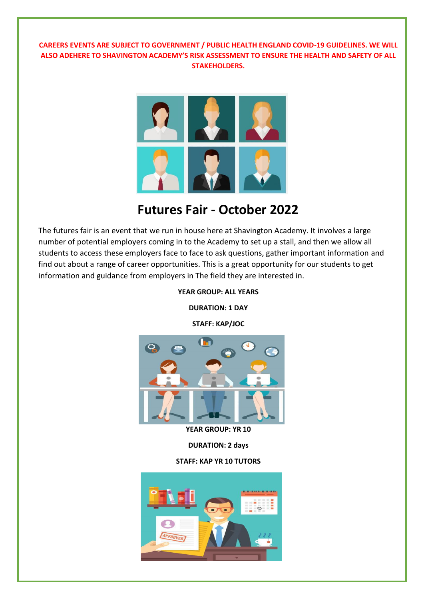#### **CAREERS EVENTS ARE SUBJECT TO GOVERNMENT / PUBLIC HEALTH ENGLAND COVID-19 GUIDELINES. WE WILL ALSO ADEHERE TO SHAVINGTON ACADEMY'S RISK ASSESSMENT TO ENSURE THE HEALTH AND SAFETY OF ALL STAKEHOLDERS.**



## **Futures Fair - October 2022**

The futures fair is an event that we run in house here at Shavington Academy. It involves a large number of potential employers coming in to the Academy to set up a stall, and then we allow all students to access these employers face to face to ask questions, gather important information and find out about a range of career opportunities. This is a great opportunity for our students to get information and guidance from employers in The field they are interested in.

**YEAR GROUP: ALL YEARS**

**DURATION: 1 DAY**

**STAFF: KAP/JOC**



**YEAR GROUP: YR 10**

**DURATION: 2 days**

**STAFF: KAP YR 10 TUTORS**